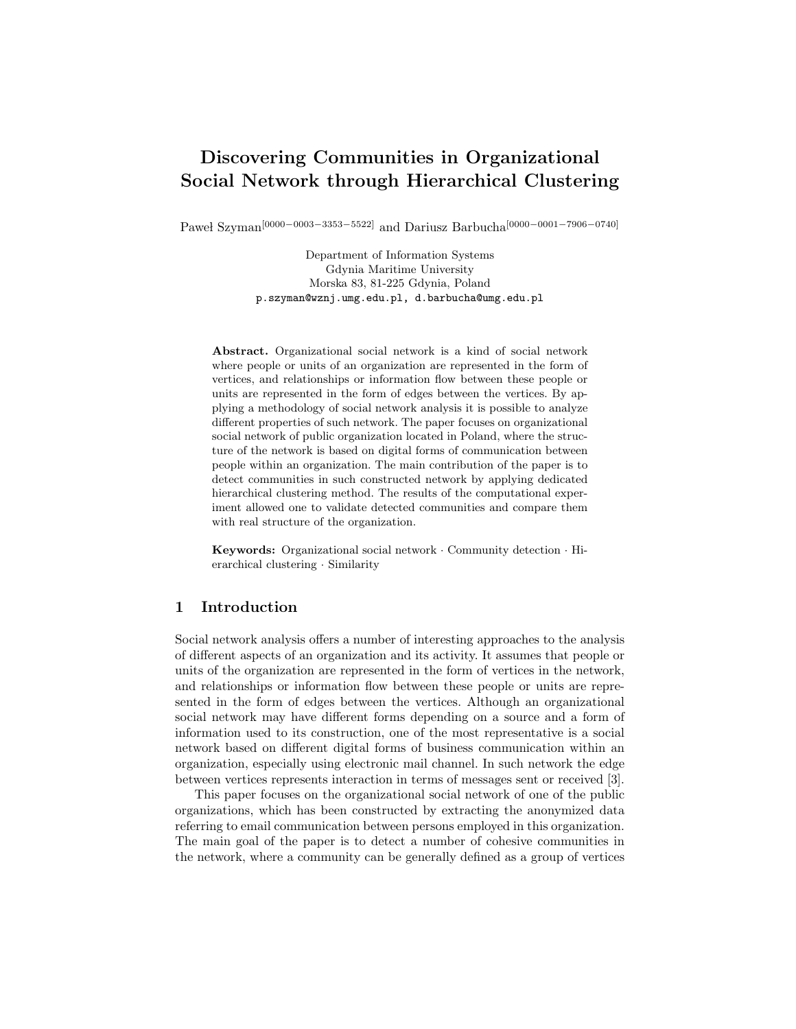# **Discovering Communities in Organizational Social Network through Hierarchical Clustering**

Paweł Szyman<sup>[0000</sup><sup>−0003−3353−5522]</sup> and Dariusz Barbucha<sup>[0000−0001−7906−0740]</sup>

Department of Information Systems Gdynia Maritime University Morska 83, 81-225 Gdynia, Poland p.szyman@wznj.umg.edu.pl, d.barbucha@umg.edu.pl

**Abstract.** Organizational social network is a kind of social network where people or units of an organization are represented in the form of vertices, and relationships or information flow between these people or units are represented in the form of edges between the vertices. By applying a methodology of social network analysis it is possible to analyze different properties of such network. The paper focuses on organizational social network of public organization located in Poland, where the structure of the network is based on digital forms of communication between people within an organization. The main contribution of the paper is to detect communities in such constructed network by applying dedicated hierarchical clustering method. The results of the computational experiment allowed one to validate detected communities and compare them with real structure of the organization.

**Keywords:** Organizational social network *·* Community detection *·* Hierarchical clustering *·* Similarity

# **1 Introduction**

Social network analysis offers a number of interesting approaches to the analysis of different aspects of an organization and its activity. It assumes that people or units of the organization are represented in the form of vertices in the network, and relationships or information flow between these people or units are represented in the form of edges between the vertices. Although an organizational social network may have different forms depending on a source and a form of information used to its construction, one of the most representative is a social network based on different digital forms of business communication within an organization, especially using electronic mail channel. In such network the edge between vertices represents interaction in terms of messages sent or received [3].

This paper focuses on the organizational social network of one of the public organizations, which has been constructed by extracting the anonymized data referring to email communication between persons employed in this organization. The main goal of the paper is to detect a number of cohesive communities in the network, where a community can be generally defined as a group of vertices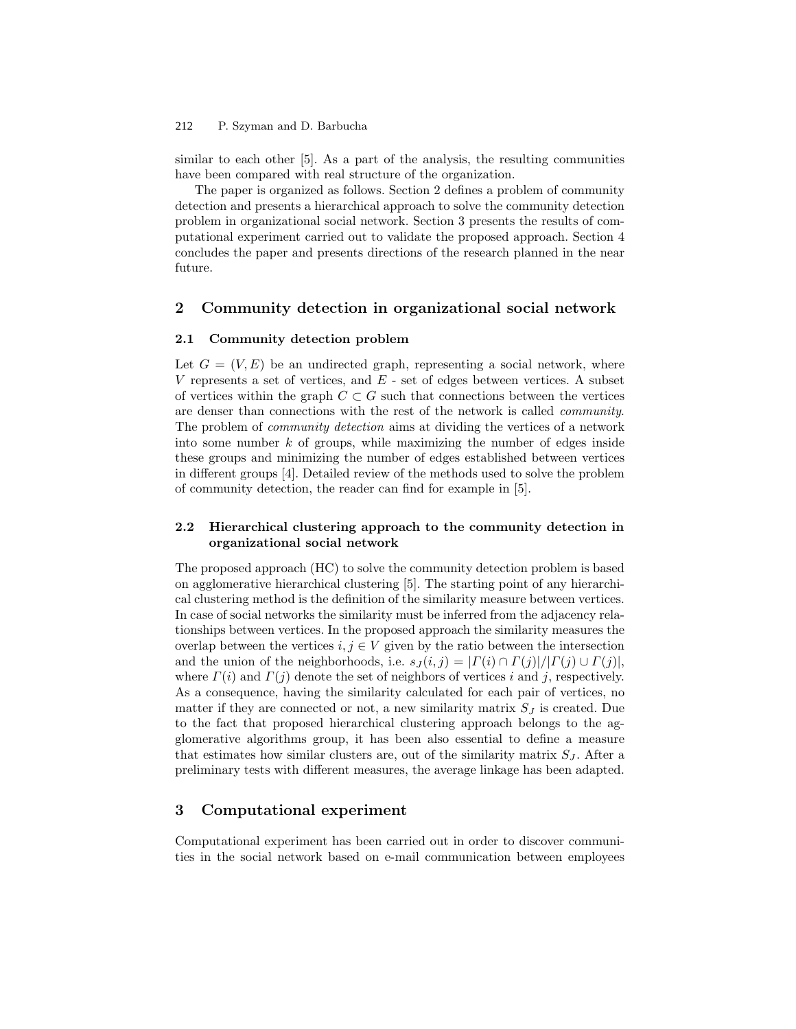#### P. Szyman and D. Barbucha 212

similar to each other [5]. As a part of the analysis, the resulting communities have been compared with real structure of the organization.

The paper is organized as follows. Section 2 defines a problem of community detection and presents a hierarchical approach to solve the community detection problem in organizational social network. Section 3 presents the results of computational experiment carried out to validate the proposed approach. Section 4 concludes the paper and presents directions of the research planned in the near future.

## **2 Community detection in organizational social network**

#### **2.1 Community detection problem**

Let  $G = (V, E)$  be an undirected graph, representing a social network, where *V* represents a set of vertices, and *E* - set of edges between vertices. A subset of vertices within the graph  $C \subset G$  such that connections between the vertices are denser than connections with the rest of the network is called *community*. The problem of *community detection* aims at dividing the vertices of a network into some number *k* of groups, while maximizing the number of edges inside these groups and minimizing the number of edges established between vertices in different groups [4]. Detailed review of the methods used to solve the problem of community detection, the reader can find for example in [5].

### **2.2 Hierarchical clustering approach to the community detection in organizational social network**

The proposed approach (HC) to solve the community detection problem is based on agglomerative hierarchical clustering [5]. The starting point of any hierarchical clustering method is the definition of the similarity measure between vertices. In case of social networks the similarity must be inferred from the adjacency relationships between vertices. In the proposed approach the similarity measures the overlap between the vertices  $i, j \in V$  given by the ratio between the intersection and the union of the neighborhoods, i.e.  $s_J(i, j) = | \Gamma(i) \cap \Gamma(j) | / | \Gamma(j) \cup \Gamma(j) |$ , where  $\Gamma(i)$  and  $\Gamma(j)$  denote the set of neighbors of vertices *i* and *j*, respectively. As a consequence, having the similarity calculated for each pair of vertices, no matter if they are connected or not, a new similarity matrix  $S_J$  is created. Due to the fact that proposed hierarchical clustering approach belongs to the agglomerative algorithms group, it has been also essential to define a measure that estimates how similar clusters are, out of the similarity matrix  $S_J$ . After a preliminary tests with different measures, the average linkage has been adapted.

# **3 Computational experiment**

Computational experiment has been carried out in order to discover communities in the social network based on e-mail communication between employees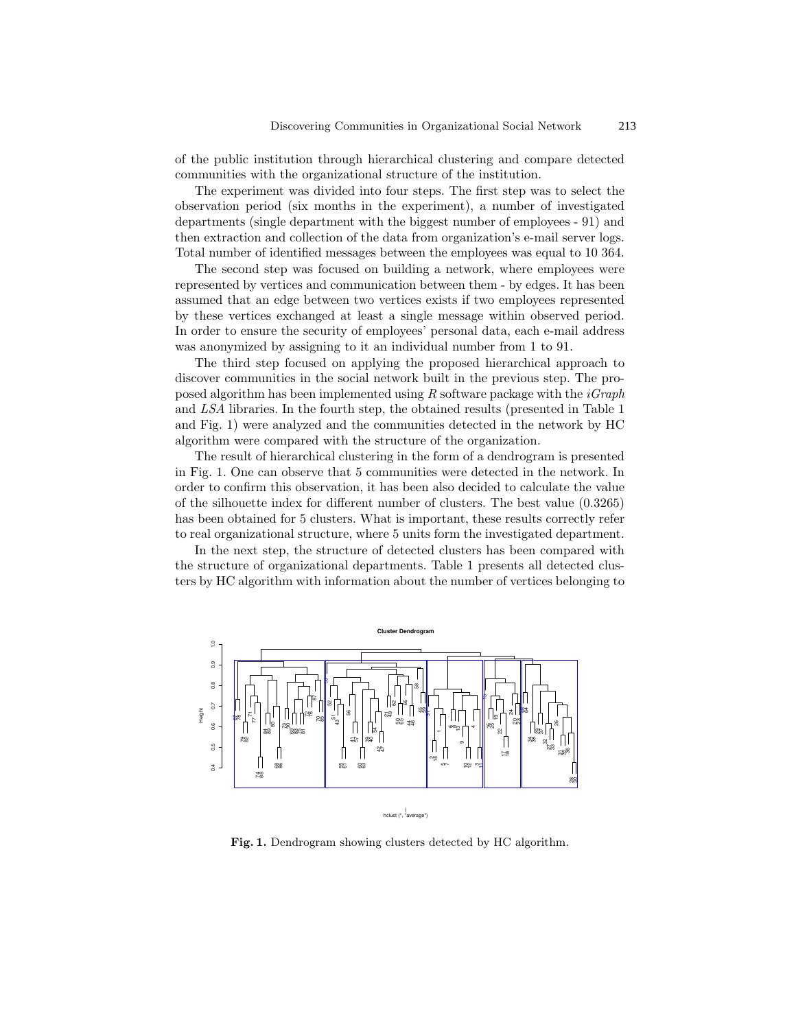of the public institution through hierarchical clustering and compare detected communities with the organizational structure of the institution.

The experiment was divided into four steps. The first step was to select the observation period (six months in the experiment), a number of investigated departments (single department with the biggest number of employees - 91) and then extraction and collection of the data from organization's e-mail server logs. Total number of identified messages between the employees was equal to 10 364.

The second step was focused on building a network, where employees were represented by vertices and communication between them - by edges. It has been assumed that an edge between two vertices exists if two employees represented by these vertices exchanged at least a single message within observed period. In order to ensure the security of employees' personal data, each e-mail address was anonymized by assigning to it an individual number from 1 to 91.

The third step focused on applying the proposed hierarchical approach to discover communities in the social network built in the previous step. The proposed algorithm has been implemented using *R* software package with the *iGraph* and *LSA* libraries. In the fourth step, the obtained results (presented in Table 1 and Fig. 1) were analyzed and the communities detected in the network by HC algorithm were compared with the structure of the organization.

The result of hierarchical clustering in the form of a dendrogram is presented in Fig. 1. One can observe that 5 communities were detected in the network. In order to confirm this observation, it has been also decided to calculate the value of the silhouette index for different number of clusters. The best value (0.3265) has been obtained for 5 clusters. What is important, these results correctly refer to real organizational structure, where 5 units form the investigated department.

In the next step, the structure of detected clusters has been compared with the structure of organizational departments. Table 1 presents all detected clusters by HC algorithm with information about the number of vertices belonging to



**Fig. 1.** Dendrogram showing clusters detected by HC algorithm.